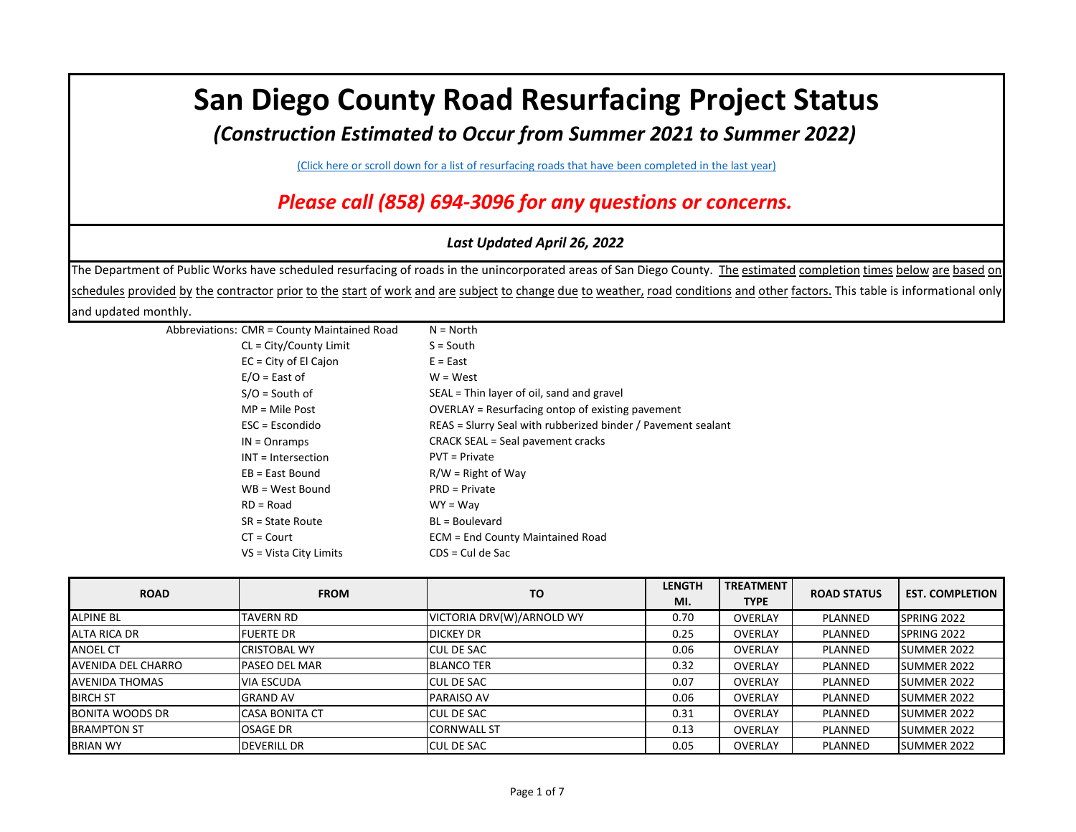## **San Diego County Road Resurfacing Project Status**

*(Construction Estimated to Occur from Summer 2021 to Summer 2022)*

[\(Click here or scroll down for a list of resurfacing roads that have been completed in the last year\)](#page-4-0)

*Please call (858) 694-3096 for any questions or concerns.*

## *Last Updated April 26, 2022*

The Department of Public Works have scheduled resurfacing of roads in the unincorporated areas of San Diego County. The estimated completion times below are based on schedules provided by the contractor prior to the start of work and are subject to change due to weather, road conditions and other factors. This table is informational only and updated monthly.

| Abbreviations: CMR = County Maintained Road | $N = North$                                                  |
|---------------------------------------------|--------------------------------------------------------------|
| $CL = City/Country Limit$                   | $S = South$                                                  |
| $EC = City of El Cajon$                     | $E = East$                                                   |
| $E/O =$ East of                             | $W = West$                                                   |
| $S/O =$ South of                            | SEAL = Thin layer of oil, sand and gravel                    |
| $MP = Mile Post$                            | OVERLAY = Resurfacing ontop of existing pavement             |
| $\textsf{ESC}$ = Escondido                  | REAS = Slurry Seal with rubberized binder / Pavement sealant |
| $IN = Onramps$                              | <b>CRACK SEAL = Seal pavement cracks</b>                     |
| INT = Intersection                          | <b>PVT</b> = Private                                         |
| $EB = East Bound$                           | $R/W =$ Right of Way                                         |
| WB = West Bound                             | PRD = Private                                                |
| $RD = Road$                                 | $WY = Way$                                                   |
| SR = State Route                            | BL = Boulevard                                               |
| $CT = Court$                                | <b>ECM = End County Maintained Road</b>                      |
| VS = Vista City Limits                      | $CDS = Cul$ de Sac                                           |
|                                             |                                                              |

| <b>ROAD</b>            | <b>FROM</b>           | <b>TO</b>                 | <b>LENGTH</b><br>MI. | <b>TREATMENT</b><br><b>TYPE</b> | <b>ROAD STATUS</b> | <b>EST. COMPLETION</b> |
|------------------------|-----------------------|---------------------------|----------------------|---------------------------------|--------------------|------------------------|
| <b>ALPINE BL</b>       | <b>TAVERN RD</b>      | VICTORIA DRV(W)/ARNOLD WY | 0.70                 | <b>OVERLAY</b>                  | PLANNED            | SPRING 2022            |
| ALTA RICA DR           | <b>FUERTE DR</b>      | <b>DICKEY DR</b>          | 0.25                 | <b>OVERLAY</b>                  | PLANNED            | SPRING 2022            |
| <b>ANOEL CT</b>        | ICRISTOBAL WY         | <b>CUL DE SAC</b>         | 0.06                 | <b>OVERLAY</b>                  | PLANNED            | SUMMER 2022            |
| AVENIDA DEL CHARRO     | lPASEO DEL MAR        | <b>BLANCO TER</b>         | 0.32                 | <b>OVERLAY</b>                  | PLANNED            | <b>SUMMER 2022</b>     |
| <b>AVENIDA THOMAS</b>  | <b>VIA ESCUDA</b>     | <b>I</b> CUL DE SAC       | 0.07                 | <b>OVERLAY</b>                  | PLANNED            | SUMMER 2022            |
| <b>BIRCH ST</b>        | <b>GRAND AV</b>       | <b>PARAISO AV</b>         | 0.06                 | <b>OVERLAY</b>                  | PLANNED            | SUMMER 2022            |
| <b>BONITA WOODS DR</b> | <b>CASA BONITA CT</b> | <b>I</b> CUL DE SAC       | 0.31                 | <b>OVERLAY</b>                  | PLANNED            | <b>SUMMER 2022</b>     |
| <b>BRAMPTON ST</b>     | <b>OSAGE DR</b>       | <b>CORNWALL ST</b>        | 0.13                 | <b>OVERLAY</b>                  | PLANNED            | SUMMER 2022            |
| <b>BRIAN WY</b>        | <b>DEVERILL DR</b>    | <b>CUL DE SAC</b>         | 0.05                 | <b>OVERLAY</b>                  | PLANNED            | SUMMER 2022            |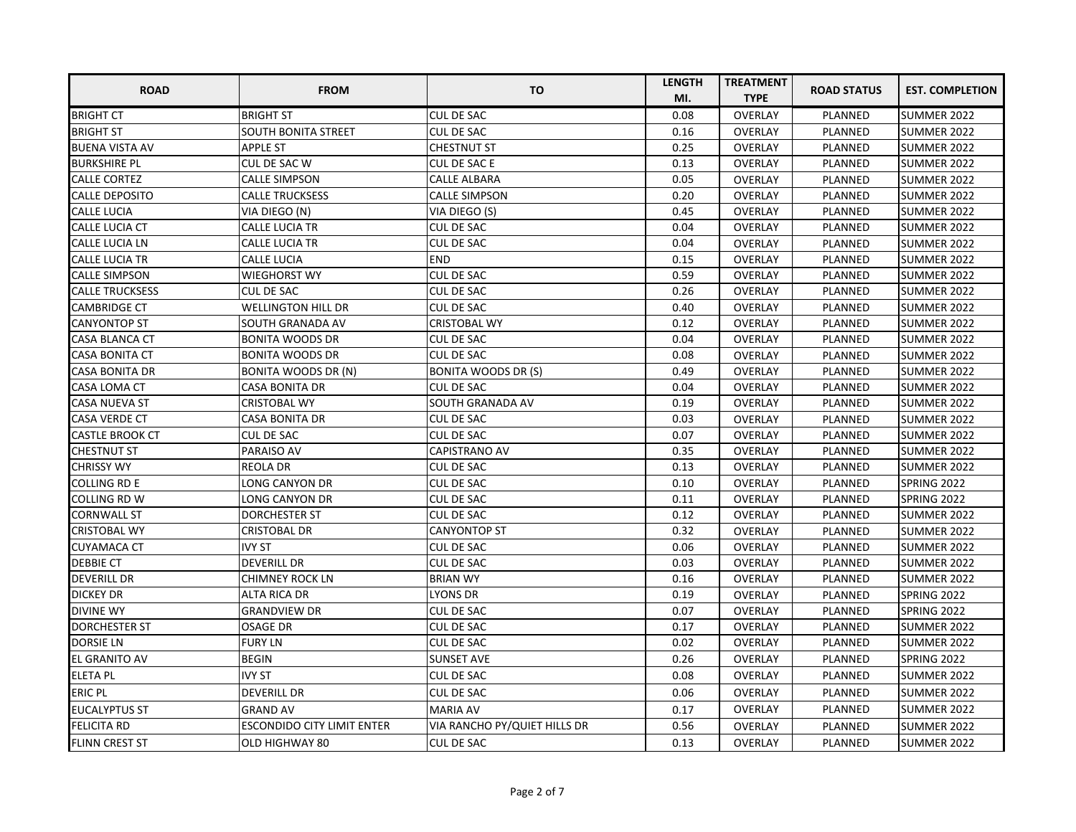| <b>ROAD</b>            | <b>FROM</b>                       | <b>TO</b>                    | <b>LENGTH</b> | <b>TREATMENT</b> | <b>ROAD STATUS</b> | <b>EST. COMPLETION</b> |
|------------------------|-----------------------------------|------------------------------|---------------|------------------|--------------------|------------------------|
|                        |                                   |                              | MI.           | <b>TYPE</b>      |                    |                        |
| <b>BRIGHT CT</b>       | <b>BRIGHT ST</b>                  | <b>CUL DE SAC</b>            | 0.08          | OVERLAY          | <b>PLANNED</b>     | SUMMER 2022            |
| <b>BRIGHT ST</b>       | <b>SOUTH BONITA STREET</b>        | CUL DE SAC                   | 0.16          | <b>OVERLAY</b>   | <b>PLANNED</b>     | <b>SUMMER 2022</b>     |
| <b>BUENA VISTA AV</b>  | <b>APPLE ST</b>                   | <b>CHESTNUT ST</b>           | 0.25          | <b>OVERLAY</b>   | PLANNED            | SUMMER 2022            |
| <b>BURKSHIRE PL</b>    | CUL DE SAC W                      | <b>CUL DE SAC E</b>          | 0.13          | <b>OVERLAY</b>   | PLANNED            | SUMMER 2022            |
| <b>CALLE CORTEZ</b>    | <b>CALLE SIMPSON</b>              | <b>CALLE ALBARA</b>          | 0.05          | <b>OVERLAY</b>   | <b>PLANNED</b>     | <b>SUMMER 2022</b>     |
| <b>CALLE DEPOSITO</b>  | <b>CALLE TRUCKSESS</b>            | <b>CALLE SIMPSON</b>         | 0.20          | <b>OVERLAY</b>   | <b>PLANNED</b>     | <b>SUMMER 2022</b>     |
| <b>CALLE LUCIA</b>     | VIA DIEGO (N)                     | VIA DIEGO (S)                | 0.45          | <b>OVERLAY</b>   | PLANNED            | <b>SUMMER 2022</b>     |
| <b>CALLE LUCIA CT</b>  | <b>CALLE LUCIA TR</b>             | <b>CUL DE SAC</b>            | 0.04          | <b>OVERLAY</b>   | PLANNED            | <b>SUMMER 2022</b>     |
| <b>CALLE LUCIA LN</b>  | <b>CALLE LUCIA TR</b>             | <b>CUL DE SAC</b>            | 0.04          | <b>OVERLAY</b>   | <b>PLANNED</b>     | SUMMER 2022            |
| <b>CALLE LUCIA TR</b>  | <b>CALLE LUCIA</b>                | <b>END</b>                   | 0.15          | <b>OVERLAY</b>   | <b>PLANNED</b>     | <b>SUMMER 2022</b>     |
| <b>CALLE SIMPSON</b>   | <b>WIEGHORST WY</b>               | <b>CUL DE SAC</b>            | 0.59          | <b>OVERLAY</b>   | PLANNED            | SUMMER 2022            |
| <b>CALLE TRUCKSESS</b> | <b>CUL DE SAC</b>                 | <b>CUL DE SAC</b>            | 0.26          | OVERLAY          | PLANNED            | <b>SUMMER 2022</b>     |
| <b>CAMBRIDGE CT</b>    | <b>WELLINGTON HILL DR</b>         | <b>CUL DE SAC</b>            | 0.40          | <b>OVERLAY</b>   | PLANNED            | SUMMER 2022            |
| <b>CANYONTOP ST</b>    | SOUTH GRANADA AV                  | <b>CRISTOBAL WY</b>          | 0.12          | <b>OVERLAY</b>   | <b>PLANNED</b>     | <b>SUMMER 2022</b>     |
| <b>CASA BLANCA CT</b>  | <b>BONITA WOODS DR</b>            | CUL DE SAC                   | 0.04          | <b>OVERLAY</b>   | PLANNED            | <b>SUMMER 2022</b>     |
| <b>CASA BONITA CT</b>  | <b>BONITA WOODS DR</b>            | <b>CUL DE SAC</b>            | 0.08          | <b>OVERLAY</b>   | PLANNED            | <b>SUMMER 2022</b>     |
| <b>CASA BONITA DR</b>  | <b>BONITA WOODS DR (N)</b>        | <b>BONITA WOODS DR (S)</b>   | 0.49          | <b>OVERLAY</b>   | <b>PLANNED</b>     | SUMMER 2022            |
| <b>CASA LOMA CT</b>    | <b>CASA BONITA DR</b>             | <b>CUL DE SAC</b>            | 0.04          | OVERLAY          | <b>PLANNED</b>     | SUMMER 2022            |
| <b>CASA NUEVA ST</b>   | <b>CRISTOBAL WY</b>               | SOUTH GRANADA AV             | 0.19          | <b>OVERLAY</b>   | PLANNED            | SUMMER 2022            |
| <b>CASA VERDE CT</b>   | CASA BONITA DR                    | CUL DE SAC                   | 0.03          | <b>OVERLAY</b>   | PLANNED            | <b>SUMMER 2022</b>     |
| <b>CASTLE BROOK CT</b> | <b>CUL DE SAC</b>                 | <b>CUL DE SAC</b>            | 0.07          | <b>OVERLAY</b>   | PLANNED            | SUMMER 2022            |
| <b>CHESTNUT ST</b>     | PARAISO AV                        | CAPISTRANO AV                | 0.35          | <b>OVERLAY</b>   | PLANNED            | <b>SUMMER 2022</b>     |
| <b>CHRISSY WY</b>      | <b>REOLA DR</b>                   | CUL DE SAC                   | 0.13          | <b>OVERLAY</b>   | PLANNED            | SUMMER 2022            |
| COLLING RD E           | LONG CANYON DR                    | CUL DE SAC                   | 0.10          | <b>OVERLAY</b>   | PLANNED            | <b>SPRING 2022</b>     |
| COLLING RD W           | LONG CANYON DR                    | <b>CUL DE SAC</b>            | 0.11          | <b>OVERLAY</b>   | PLANNED            | <b>SPRING 2022</b>     |
| <b>CORNWALL ST</b>     | <b>DORCHESTER ST</b>              | <b>CUL DE SAC</b>            | 0.12          | <b>OVERLAY</b>   | PLANNED            | SUMMER 2022            |
| <b>CRISTOBAL WY</b>    | <b>CRISTOBAL DR</b>               | <b>CANYONTOP ST</b>          | 0.32          | <b>OVERLAY</b>   | PLANNED            | <b>SUMMER 2022</b>     |
| <b>CUYAMACA CT</b>     | <b>IVY ST</b>                     | CUL DE SAC                   | 0.06          | <b>OVERLAY</b>   | PLANNED            | <b>SUMMER 2022</b>     |
| <b>DEBBIE CT</b>       | <b>DEVERILL DR</b>                | <b>CUL DE SAC</b>            | 0.03          | <b>OVERLAY</b>   | PLANNED            | <b>SUMMER 2022</b>     |
| <b>DEVERILL DR</b>     | <b>CHIMNEY ROCK LN</b>            | <b>BRIAN WY</b>              | 0.16          | <b>OVERLAY</b>   | PLANNED            | SUMMER 2022            |
| <b>DICKEY DR</b>       | ALTA RICA DR                      | LYONS DR                     | 0.19          | <b>OVERLAY</b>   | PLANNED            | SPRING 2022            |
| <b>DIVINE WY</b>       | <b>GRANDVIEW DR</b>               | CUL DE SAC                   | 0.07          | <b>OVERLAY</b>   | PLANNED            | <b>SPRING 2022</b>     |
| <b>DORCHESTER ST</b>   | <b>OSAGE DR</b>                   | <b>CUL DE SAC</b>            | 0.17          | <b>OVERLAY</b>   | PLANNED            | SUMMER 2022            |
| <b>DORSIE LN</b>       | <b>FURY LN</b>                    | <b>CUL DE SAC</b>            | 0.02          | <b>OVERLAY</b>   | PLANNED            | SUMMER 2022            |
| <b>EL GRANITO AV</b>   | <b>BEGIN</b>                      | <b>SUNSET AVE</b>            | 0.26          | <b>OVERLAY</b>   | PLANNED            | <b>SPRING 2022</b>     |
| <b>ELETA PL</b>        | <b>IVY ST</b>                     | CUL DE SAC                   | 0.08          | <b>OVERLAY</b>   | PLANNED            | SUMMER 2022            |
| <b>ERIC PL</b>         | <b>DEVERILL DR</b>                | <b>CUL DE SAC</b>            | 0.06          | <b>OVERLAY</b>   | PLANNED            | <b>SUMMER 2022</b>     |
| <b>EUCALYPTUS ST</b>   | <b>GRAND AV</b>                   | <b>MARIA AV</b>              | 0.17          | OVERLAY          | PLANNED            | <b>SUMMER 2022</b>     |
| <b>FELICITA RD</b>     | <b>ESCONDIDO CITY LIMIT ENTER</b> | VIA RANCHO PY/QUIET HILLS DR | 0.56          | <b>OVERLAY</b>   | PLANNED            | <b>SUMMER 2022</b>     |
| <b>FLINN CREST ST</b>  | OLD HIGHWAY 80                    | <b>CUL DE SAC</b>            | 0.13          | <b>OVERLAY</b>   | PLANNED            | <b>SUMMER 2022</b>     |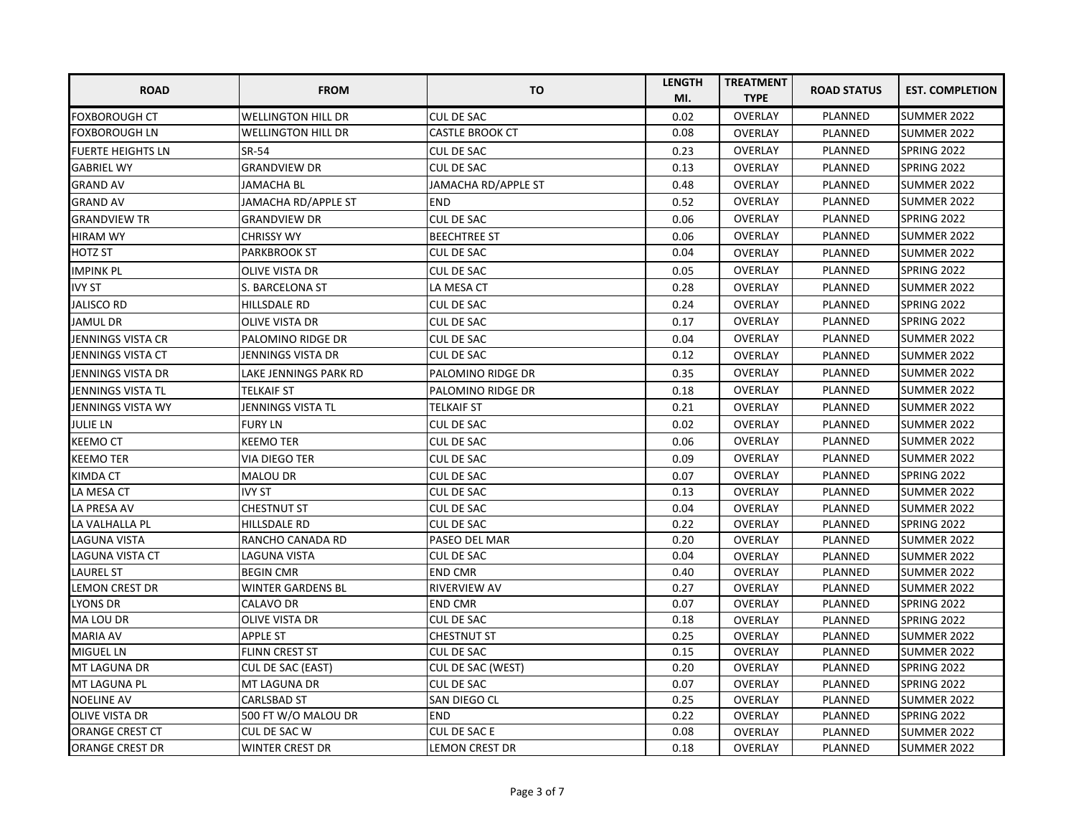| <b>ROAD</b>              | <b>FROM</b>               | TO                     | <b>LENGTH</b><br>MI. | <b>TREATMENT</b><br><b>TYPE</b> | <b>ROAD STATUS</b> | <b>EST. COMPLETION</b> |
|--------------------------|---------------------------|------------------------|----------------------|---------------------------------|--------------------|------------------------|
| <b>FOXBOROUGH CT</b>     | <b>WELLINGTON HILL DR</b> | <b>CUL DE SAC</b>      | 0.02                 | OVERLAY                         | PLANNED            | SUMMER 2022            |
| <b>FOXBOROUGH LN</b>     | <b>WELLINGTON HILL DR</b> | <b>CASTLE BROOK CT</b> | 0.08                 | <b>OVERLAY</b>                  | <b>PLANNED</b>     | <b>SUMMER 2022</b>     |
| <b>FUERTE HEIGHTS LN</b> | SR-54                     | <b>CUL DE SAC</b>      | 0.23                 | <b>OVERLAY</b>                  | <b>PLANNED</b>     | SPRING 2022            |
| <b>GABRIEL WY</b>        | <b>GRANDVIEW DR</b>       | <b>CUL DE SAC</b>      | 0.13                 | <b>OVERLAY</b>                  | <b>PLANNED</b>     | <b>SPRING 2022</b>     |
| <b>GRAND AV</b>          | <b>JAMACHA BL</b>         | JAMACHA RD/APPLE ST    | 0.48                 | <b>OVERLAY</b>                  | PLANNED            | <b>SUMMER 2022</b>     |
| <b>GRAND AV</b>          | JAMACHA RD/APPLE ST       | <b>END</b>             | 0.52                 | <b>OVERLAY</b>                  | PLANNED            | SUMMER 2022            |
| <b>GRANDVIEW TR</b>      | <b>GRANDVIEW DR</b>       | <b>CUL DE SAC</b>      | 0.06                 | <b>OVERLAY</b>                  | PLANNED            | <b>SPRING 2022</b>     |
| <b>HIRAM WY</b>          | <b>CHRISSY WY</b>         | <b>BEECHTREE ST</b>    | 0.06                 | <b>OVERLAY</b>                  | PLANNED            | <b>SUMMER 2022</b>     |
| <b>HOTZ ST</b>           | <b>PARKBROOK ST</b>       | <b>CUL DE SAC</b>      | 0.04                 | <b>OVERLAY</b>                  | <b>PLANNED</b>     | SUMMER 2022            |
| <b>IMPINK PL</b>         | OLIVE VISTA DR            | <b>CUL DE SAC</b>      | 0.05                 | <b>OVERLAY</b>                  | <b>PLANNED</b>     | SPRING 2022            |
| <b>IVY ST</b>            | S. BARCELONA ST           | LA MESA CT             | 0.28                 | <b>OVERLAY</b>                  | PLANNED            | SUMMER 2022            |
| <b>JALISCO RD</b>        | HILLSDALE RD              | CUL DE SAC             | 0.24                 | <b>OVERLAY</b>                  | <b>PLANNED</b>     | SPRING 2022            |
| <b>JAMUL DR</b>          | OLIVE VISTA DR            | <b>CUL DE SAC</b>      | 0.17                 | <b>OVERLAY</b>                  | PLANNED            | <b>SPRING 2022</b>     |
| JENNINGS VISTA CR        | PALOMINO RIDGE DR         | CUL DE SAC             | 0.04                 | OVERLAY                         | PLANNED            | <b>SUMMER 2022</b>     |
| JENNINGS VISTA CT        | JENNINGS VISTA DR         | <b>CUL DE SAC</b>      | 0.12                 | <b>OVERLAY</b>                  | <b>PLANNED</b>     | <b>SUMMER 2022</b>     |
| JENNINGS VISTA DR        | LAKE JENNINGS PARK RD     | PALOMINO RIDGE DR      | 0.35                 | <b>OVERLAY</b>                  | <b>PLANNED</b>     | SUMMER 2022            |
| JENNINGS VISTA TL        | <b>TELKAIF ST</b>         | PALOMINO RIDGE DR      | 0.18                 | <b>OVERLAY</b>                  | PLANNED            | <b>SUMMER 2022</b>     |
| JENNINGS VISTA WY        | JENNINGS VISTA TL         | <b>TELKAIF ST</b>      | 0.21                 | <b>OVERLAY</b>                  | <b>PLANNED</b>     | <b>SUMMER 2022</b>     |
| <b>JULIE LN</b>          | <b>FURY LN</b>            | <b>CUL DE SAC</b>      | 0.02                 | <b>OVERLAY</b>                  | PLANNED            | SUMMER 2022            |
| <b>KEEMO CT</b>          | <b>KEEMO TER</b>          | <b>CUL DE SAC</b>      | 0.06                 | <b>OVERLAY</b>                  | PLANNED            | <b>SUMMER 2022</b>     |
| <b>KEEMO TER</b>         | VIA DIEGO TER             | CUL DE SAC             | 0.09                 | <b>OVERLAY</b>                  | PLANNED            | <b>SUMMER 2022</b>     |
| <b>KIMDA CT</b>          | <b>MALOU DR</b>           | <b>CUL DE SAC</b>      | 0.07                 | OVERLAY                         | PLANNED            | SPRING 2022            |
| LA MESA CT               | <b>IVY ST</b>             | <b>CUL DE SAC</b>      | 0.13                 | <b>OVERLAY</b>                  | PLANNED            | SUMMER 2022            |
| LA PRESA AV              | <b>CHESTNUT ST</b>        | <b>CUL DE SAC</b>      | 0.04                 | <b>OVERLAY</b>                  | PLANNED            | SUMMER 2022            |
| LA VALHALLA PL           | <b>HILLSDALE RD</b>       | <b>CUL DE SAC</b>      | 0.22                 | <b>OVERLAY</b>                  | PLANNED            | SPRING 2022            |
| <b>LAGUNA VISTA</b>      | RANCHO CANADA RD          | PASEO DEL MAR          | 0.20                 | <b>OVERLAY</b>                  | PLANNED            | <b>SUMMER 2022</b>     |
| <b>LAGUNA VISTA CT</b>   | LAGUNA VISTA              | <b>CUL DE SAC</b>      | 0.04                 | <b>OVERLAY</b>                  | <b>PLANNED</b>     | <b>SUMMER 2022</b>     |
| <b>LAUREL ST</b>         | <b>BEGIN CMR</b>          | <b>END CMR</b>         | 0.40                 | <b>OVERLAY</b>                  | PLANNED            | <b>SUMMER 2022</b>     |
| <b>LEMON CREST DR</b>    | <b>WINTER GARDENS BL</b>  | <b>RIVERVIEW AV</b>    | 0.27                 | <b>OVERLAY</b>                  | PLANNED            | SUMMER 2022            |
| <b>LYONS DR</b>          | CALAVO DR                 | <b>END CMR</b>         | 0.07                 | <b>OVERLAY</b>                  | PLANNED            | <b>SPRING 2022</b>     |
| <b>MA LOU DR</b>         | OLIVE VISTA DR            | <b>CUL DE SAC</b>      | 0.18                 | <b>OVERLAY</b>                  | PLANNED            | SPRING 2022            |
| <b>MARIA AV</b>          | <b>APPLE ST</b>           | <b>CHESTNUT ST</b>     | 0.25                 | <b>OVERLAY</b>                  | <b>PLANNED</b>     | <b>SUMMER 2022</b>     |
| <b>MIGUEL LN</b>         | <b>FLINN CREST ST</b>     | <b>CUL DE SAC</b>      | 0.15                 | <b>OVERLAY</b>                  | PLANNED            | <b>SUMMER 2022</b>     |
| <b>MT LAGUNA DR</b>      | <b>CUL DE SAC (EAST)</b>  | CUL DE SAC (WEST)      | 0.20                 | OVERLAY                         | PLANNED            | <b>SPRING 2022</b>     |
| <b>MT LAGUNA PL</b>      | MT LAGUNA DR              | <b>CUL DE SAC</b>      | 0.07                 | <b>OVERLAY</b>                  | PLANNED            | SPRING 2022            |
| <b>NOELINE AV</b>        | <b>CARLSBAD ST</b>        | SAN DIEGO CL           | 0.25                 | <b>OVERLAY</b>                  | PLANNED            | SUMMER 2022            |
| <b>OLIVE VISTA DR</b>    | 500 FT W/O MALOU DR       | <b>END</b>             | 0.22                 | <b>OVERLAY</b>                  | PLANNED            | SPRING 2022            |
| <b>ORANGE CREST CT</b>   | CUL DE SAC W              | CUL DE SAC E           | 0.08                 | OVERLAY                         | PLANNED            | <b>SUMMER 2022</b>     |
| ORANGE CREST DR          | WINTER CREST DR           | <b>LEMON CREST DR</b>  | 0.18                 | <b>OVERLAY</b>                  | PLANNED            | SUMMER 2022            |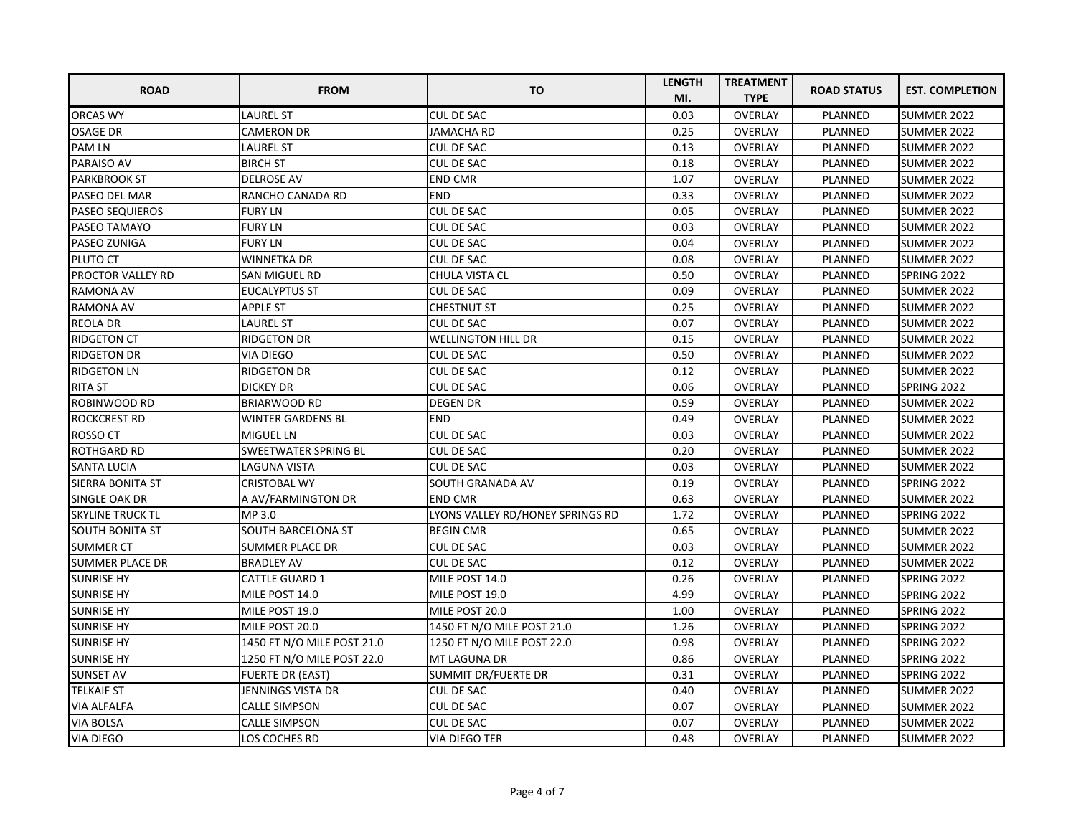| <b>ROAD</b>              | <b>FROM</b>                | <b>TO</b>                        | <b>LENGTH</b> | <b>TREATMENT</b> | <b>ROAD STATUS</b> | <b>EST. COMPLETION</b> |
|--------------------------|----------------------------|----------------------------------|---------------|------------------|--------------------|------------------------|
|                          |                            |                                  | MI.           | <b>TYPE</b>      |                    |                        |
| <b>ORCAS WY</b>          | <b>LAUREL ST</b>           | <b>CUL DE SAC</b>                | 0.03          | <b>OVERLAY</b>   | PLANNED            | SUMMER 2022            |
| <b>OSAGE DR</b>          | <b>CAMERON DR</b>          | <b>JAMACHA RD</b>                | 0.25          | <b>OVERLAY</b>   | PLANNED            | SUMMER 2022            |
| <b>PAM LN</b>            | <b>LAUREL ST</b>           | <b>CUL DE SAC</b>                | 0.13          | <b>OVERLAY</b>   | PLANNED            | SUMMER 2022            |
| PARAISO AV               | <b>BIRCH ST</b>            | <b>CUL DE SAC</b>                | 0.18          | OVERLAY          | PLANNED            | SUMMER 2022            |
| <b>PARKBROOK ST</b>      | <b>DELROSE AV</b>          | <b>END CMR</b>                   | 1.07          | OVERLAY          | PLANNED            | SUMMER 2022            |
| PASEO DEL MAR            | RANCHO CANADA RD           | <b>END</b>                       | 0.33          | <b>OVERLAY</b>   | PLANNED            | SUMMER 2022            |
| <b>PASEO SEQUIEROS</b>   | <b>FURY LN</b>             | <b>CUL DE SAC</b>                | 0.05          | <b>OVERLAY</b>   | PLANNED            | SUMMER 2022            |
| PASEO TAMAYO             | <b>FURY LN</b>             | CUL DE SAC                       | 0.03          | <b>OVERLAY</b>   | PLANNED            | SUMMER 2022            |
| PASEO ZUNIGA             | <b>FURY LN</b>             | <b>CUL DE SAC</b>                | 0.04          | <b>OVERLAY</b>   | PLANNED            | <b>SUMMER 2022</b>     |
| PLUTO CT                 | <b>WINNETKA DR</b>         | <b>CUL DE SAC</b>                | 0.08          | <b>OVERLAY</b>   | PLANNED            | SUMMER 2022            |
| <b>PROCTOR VALLEY RD</b> | SAN MIGUEL RD              | CHULA VISTA CL                   | 0.50          | <b>OVERLAY</b>   | PLANNED            | <b>SPRING 2022</b>     |
| <b>RAMONA AV</b>         | <b>EUCALYPTUS ST</b>       | <b>CUL DE SAC</b>                | 0.09          | <b>OVERLAY</b>   | PLANNED            | SUMMER 2022            |
| <b>RAMONA AV</b>         | <b>APPLE ST</b>            | <b>CHESTNUT ST</b>               | 0.25          | <b>OVERLAY</b>   | PLANNED            | SUMMER 2022            |
| <b>REOLA DR</b>          | <b>LAUREL ST</b>           | <b>CUL DE SAC</b>                | 0.07          | <b>OVERLAY</b>   | PLANNED            | SUMMER 2022            |
| <b>RIDGETON CT</b>       | <b>RIDGETON DR</b>         | <b>WELLINGTON HILL DR</b>        | 0.15          | <b>OVERLAY</b>   | PLANNED            | SUMMER 2022            |
| <b>RIDGETON DR</b>       | <b>VIA DIEGO</b>           | <b>CUL DE SAC</b>                | 0.50          | OVERLAY          | PLANNED            | SUMMER 2022            |
| <b>RIDGETON LN</b>       | RIDGETON DR                | <b>CUL DE SAC</b>                | 0.12          | <b>OVERLAY</b>   | PLANNED            | <b>SUMMER 2022</b>     |
| <b>RITA ST</b>           | <b>DICKEY DR</b>           | <b>CUL DE SAC</b>                | 0.06          | OVERLAY          | <b>PLANNED</b>     | <b>SPRING 2022</b>     |
| ROBINWOOD RD             | <b>BRIARWOOD RD</b>        | <b>DEGEN DR</b>                  | 0.59          | <b>OVERLAY</b>   | PLANNED            | SUMMER 2022            |
| <b>ROCKCREST RD</b>      | <b>WINTER GARDENS BL</b>   | <b>END</b>                       | 0.49          | <b>OVERLAY</b>   | PLANNED            | SUMMER 2022            |
| ROSSO CT                 | MIGUEL LN                  | CUL DE SAC                       | 0.03          | <b>OVERLAY</b>   | PLANNED            | SUMMER 2022            |
| ROTHGARD RD              | SWEETWATER SPRING BL       | <b>CUL DE SAC</b>                | 0.20          | <b>OVERLAY</b>   | PLANNED            | <b>SUMMER 2022</b>     |
| <b>SANTA LUCIA</b>       | LAGUNA VISTA               | <b>CUL DE SAC</b>                | 0.03          | <b>OVERLAY</b>   | PLANNED            | <b>SUMMER 2022</b>     |
| SIERRA BONITA ST         | <b>CRISTOBAL WY</b>        | SOUTH GRANADA AV                 | 0.19          | <b>OVERLAY</b>   | PLANNED            | SPRING 2022            |
| SINGLE OAK DR            | A AV/FARMINGTON DR         | <b>END CMR</b>                   | 0.63          | OVERLAY          | PLANNED            | <b>SUMMER 2022</b>     |
| <b>SKYLINE TRUCK TL</b>  | MP 3.0                     | LYONS VALLEY RD/HONEY SPRINGS RD | 1.72          | <b>OVERLAY</b>   | PLANNED            | <b>SPRING 2022</b>     |
| <b>SOUTH BONITA ST</b>   | SOUTH BARCELONA ST         | <b>BEGIN CMR</b>                 | 0.65          | <b>OVERLAY</b>   | <b>PLANNED</b>     | <b>SUMMER 2022</b>     |
| <b>SUMMER CT</b>         | <b>SUMMER PLACE DR</b>     | <b>CUL DE SAC</b>                | 0.03          | <b>OVERLAY</b>   | PLANNED            | <b>SUMMER 2022</b>     |
| <b>SUMMER PLACE DR</b>   | <b>BRADLEY AV</b>          | <b>CUL DE SAC</b>                | 0.12          | <b>OVERLAY</b>   | <b>PLANNED</b>     | <b>SUMMER 2022</b>     |
| <b>SUNRISE HY</b>        | <b>CATTLE GUARD 1</b>      | MILE POST 14.0                   | 0.26          | <b>OVERLAY</b>   | PLANNED            | SPRING 2022            |
| <b>SUNRISE HY</b>        | MILE POST 14.0             | MILE POST 19.0                   | 4.99          | <b>OVERLAY</b>   | <b>PLANNED</b>     | SPRING 2022            |
| <b>SUNRISE HY</b>        | MILE POST 19.0             | MILE POST 20.0                   | 1.00          | <b>OVERLAY</b>   | PLANNED            | SPRING 2022            |
| <b>SUNRISE HY</b>        | MILE POST 20.0             | 1450 FT N/O MILE POST 21.0       | 1.26          | <b>OVERLAY</b>   | PLANNED            | <b>SPRING 2022</b>     |
| <b>SUNRISE HY</b>        | 1450 FT N/O MILE POST 21.0 | 1250 FT N/O MILE POST 22.0       | 0.98          | <b>OVERLAY</b>   | PLANNED            | <b>SPRING 2022</b>     |
| <b>SUNRISE HY</b>        | 1250 FT N/O MILE POST 22.0 | MT LAGUNA DR                     | 0.86          | <b>OVERLAY</b>   | <b>PLANNED</b>     | <b>SPRING 2022</b>     |
| <b>SUNSET AV</b>         | <b>FUERTE DR (EAST)</b>    | SUMMIT DR/FUERTE DR              | 0.31          | <b>OVERLAY</b>   | <b>PLANNED</b>     | SPRING 2022            |
| <b>TELKAIF ST</b>        | JENNINGS VISTA DR          | CUL DE SAC                       | 0.40          | <b>OVERLAY</b>   | <b>PLANNED</b>     | SUMMER 2022            |
| VIA ALFALFA              | <b>CALLE SIMPSON</b>       | CUL DE SAC                       | 0.07          | <b>OVERLAY</b>   | PLANNED            | SUMMER 2022            |
| <b>VIA BOLSA</b>         | CALLE SIMPSON              | CUL DE SAC                       | 0.07          | OVERLAY          | PLANNED            | SUMMER 2022            |
| <b>VIA DIEGO</b>         | LOS COCHES RD              | VIA DIEGO TER                    | 0.48          | <b>OVERLAY</b>   | PLANNED            | SUMMER 2022            |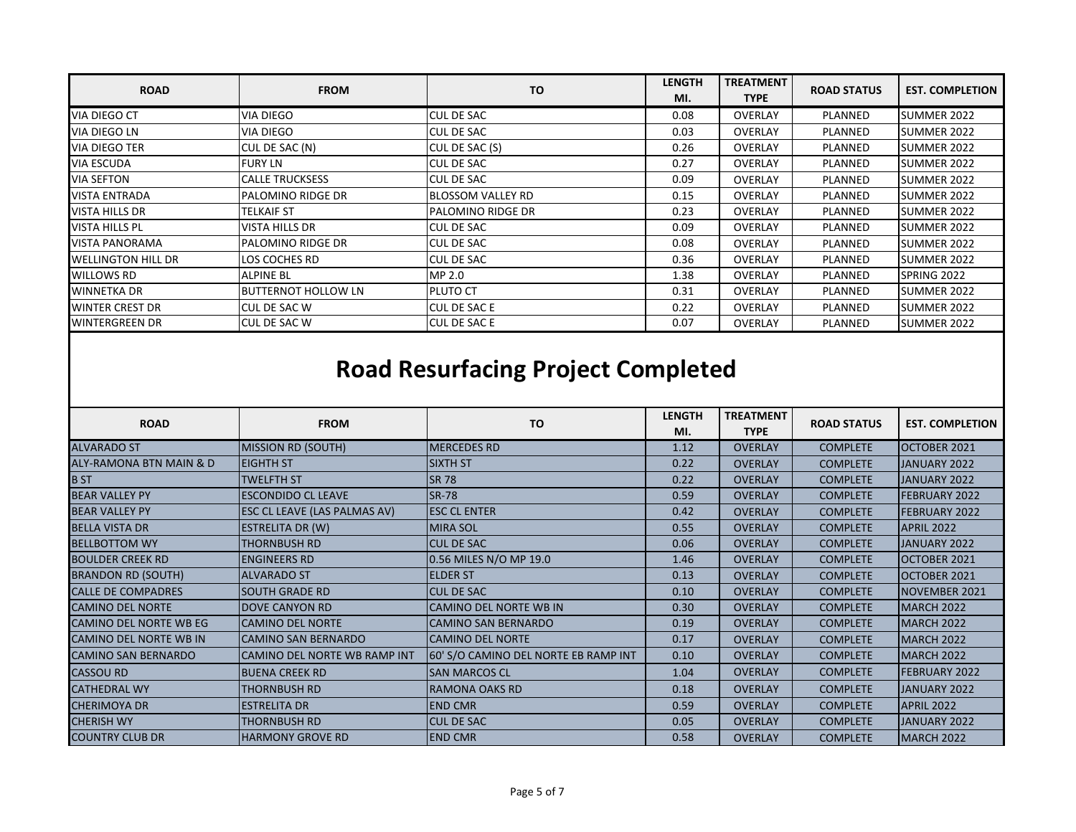| <b>ROAD</b>               | <b>FROM</b>                | TO                       | <b>LENGTH</b> | <b>TREATMENT</b> | <b>ROAD STATUS</b> | <b>EST. COMPLETION</b> |
|---------------------------|----------------------------|--------------------------|---------------|------------------|--------------------|------------------------|
|                           |                            |                          | MI.           | <b>TYPE</b>      |                    |                        |
| <b>VIA DIEGO CT</b>       | VIA DIEGO                  | <b>ICUL DE SAC</b>       | 0.08          | <b>OVERLAY</b>   | PLANNED            | <b>SUMMER 2022</b>     |
| VIA DIEGO LN              | VIA DIEGO                  | <b>CUL DE SAC</b>        | 0.03          | OVERLAY          | PLANNED            | SUMMER 2022            |
| VIA DIEGO TER             | CUL DE SAC (N)             | CUL DE SAC (S)           | 0.26          | <b>OVERLAY</b>   | PLANNED            | ISUMMER 2022           |
| <b>VIA ESCUDA</b>         | <b>FURY LN</b>             | <b>ICUL DE SAC</b>       | 0.27          | <b>OVERLAY</b>   | PLANNED            | <b>SUMMER 2022</b>     |
| <b>VIA SEFTON</b>         | <b>CALLE TRUCKSESS</b>     | <b>CUL DE SAC</b>        | 0.09          | <b>OVERLAY</b>   | PLANNED            | SUMMER 2022            |
| <b>VISTA ENTRADA</b>      | PALOMINO RIDGE DR          | <b>BLOSSOM VALLEY RD</b> | 0.15          | <b>OVERLAY</b>   | PLANNED            | SUMMER 2022            |
| <b>VISTA HILLS DR</b>     | TELKAIF ST                 | <b>PALOMINO RIDGE DR</b> | 0.23          | <b>OVERLAY</b>   | PLANNED            | SUMMER 2022            |
| <b>VISTA HILLS PL</b>     | <b>VISTA HILLS DR</b>      | CUL DE SAC               | 0.09          | <b>OVERLAY</b>   | PLANNED            | SUMMER 2022            |
| <b>VISTA PANORAMA</b>     | <b>PALOMINO RIDGE DR</b>   | CUL DE SAC               | 0.08          | <b>OVERLAY</b>   | PLANNED            | <b>SUMMER 2022</b>     |
| <b>WELLINGTON HILL DR</b> | LOS COCHES RD              | <b>ICUL DE SAC</b>       | 0.36          | <b>OVERLAY</b>   | PLANNED            | SUMMER 2022            |
| <b>WILLOWS RD</b>         | <b>ALPINE BL</b>           | MP 2.0                   | 1.38          | <b>OVERLAY</b>   | PLANNED            | SPRING 2022            |
| <b>WINNETKA DR</b>        | <b>BUTTERNOT HOLLOW LN</b> | PLUTO CT                 | 0.31          | <b>OVERLAY</b>   | PLANNED            | SUMMER 2022            |
| <b>WINTER CREST DR</b>    | <b>CUL DE SAC W</b>        | <b>CUL DE SAC E</b>      | 0.22          | <b>OVERLAY</b>   | PLANNED            | SUMMER 2022            |
| <b>WINTERGREEN DR</b>     | <b>CUL DE SAC W</b>        | <b>CUL DE SAC E</b>      | 0.07          | <b>OVERLAY</b>   | PLANNED            | SUMMER 2022            |

## **Road Resurfacing Project Completed**

<span id="page-4-0"></span>

| <b>ROAD</b>                   | <b>FROM</b>                  | <b>TO</b>                            | <b>LENGTH</b><br>MI. | <b>TREATMENT</b><br><b>TYPE</b> | <b>ROAD STATUS</b> | <b>EST. COMPLETION</b> |
|-------------------------------|------------------------------|--------------------------------------|----------------------|---------------------------------|--------------------|------------------------|
| <b>ALVARADO ST</b>            | <b>MISSION RD (SOUTH)</b>    | <b>MERCEDES RD</b>                   | 1.12                 | <b>OVERLAY</b>                  | <b>COMPLETE</b>    | OCTOBER 2021           |
| ALY-RAMONA BTN MAIN & D       | <b>EIGHTH ST</b>             | <b>SIXTH ST</b>                      | 0.22                 | <b>OVERLAY</b>                  | <b>COMPLETE</b>    | JANUARY 2022           |
| <b>B</b> ST                   | <b>TWELFTH ST</b>            | <b>SR 78</b>                         | 0.22                 | <b>OVERLAY</b>                  | <b>COMPLETE</b>    | JANUARY 2022           |
| <b>BEAR VALLEY PY</b>         | <b>ESCONDIDO CL LEAVE</b>    | <b>SR-78</b>                         | 0.59                 | <b>OVERLAY</b>                  | <b>COMPLETE</b>    | <b>FEBRUARY 2022</b>   |
| <b>BEAR VALLEY PY</b>         | ESC CL LEAVE (LAS PALMAS AV) | <b>ESC CL ENTER</b>                  | 0.42                 | <b>OVERLAY</b>                  | <b>COMPLETE</b>    | FEBRUARY 2022          |
| <b>BELLA VISTA DR</b>         | <b>ESTRELITA DR (W)</b>      | <b>MIRA SOL</b>                      | 0.55                 | <b>OVERLAY</b>                  | <b>COMPLETE</b>    | <b>APRIL 2022</b>      |
| <b>BELLBOTTOM WY</b>          | <b>THORNBUSH RD</b>          | <b>CUL DE SAC</b>                    | 0.06                 | <b>OVERLAY</b>                  | <b>COMPLETE</b>    | JANUARY 2022           |
| <b>BOULDER CREEK RD</b>       | <b>ENGINEERS RD</b>          | 0.56 MILES N/O MP 19.0               | 1.46                 | <b>OVERLAY</b>                  | <b>COMPLETE</b>    | OCTOBER 2021           |
| <b>BRANDON RD (SOUTH)</b>     | <b>ALVARADO ST</b>           | <b>ELDER ST</b>                      | 0.13                 | <b>OVERLAY</b>                  | <b>COMPLETE</b>    | OCTOBER 2021           |
| <b>CALLE DE COMPADRES</b>     | <b>SOUTH GRADE RD</b>        | <b>CUL DE SAC</b>                    | 0.10                 | <b>OVERLAY</b>                  | <b>COMPLETE</b>    | <b>NOVEMBER 2021</b>   |
| <b>CAMINO DEL NORTE</b>       | <b>DOVE CANYON RD</b>        | <b>CAMINO DEL NORTE WB IN</b>        | 0.30                 | <b>OVERLAY</b>                  | <b>COMPLETE</b>    | <b>MARCH 2022</b>      |
| <b>CAMINO DEL NORTE WB EG</b> | <b>CAMINO DEL NORTE</b>      | <b>CAMINO SAN BERNARDO</b>           | 0.19                 | <b>OVERLAY</b>                  | <b>COMPLETE</b>    | <b>MARCH 2022</b>      |
| <b>CAMINO DEL NORTE WB IN</b> | <b>CAMINO SAN BERNARDO</b>   | <b>CAMINO DEL NORTE</b>              | 0.17                 | <b>OVERLAY</b>                  | <b>COMPLETE</b>    | <b>MARCH 2022</b>      |
| <b>CAMINO SAN BERNARDO</b>    | CAMINO DEL NORTE WB RAMP INT | 60' S/O CAMINO DEL NORTE EB RAMP INT | 0.10                 | <b>OVERLAY</b>                  | <b>COMPLETE</b>    | MARCH 2022             |
| <b>CASSOU RD</b>              | <b>BUENA CREEK RD</b>        | <b>SAN MARCOS CL</b>                 | 1.04                 | <b>OVERLAY</b>                  | <b>COMPLETE</b>    | FEBRUARY 2022          |
| <b>CATHEDRAL WY</b>           | THORNBUSH RD                 | <b>RAMONA OAKS RD</b>                | 0.18                 | <b>OVERLAY</b>                  | <b>COMPLETE</b>    | JANUARY 2022           |
| <b>CHERIMOYA DR</b>           | <b>ESTRELITA DR</b>          | <b>END CMR</b>                       | 0.59                 | <b>OVERLAY</b>                  | <b>COMPLETE</b>    | <b>APRIL 2022</b>      |
| <b>CHERISH WY</b>             | THORNBUSH RD                 | <b>CUL DE SAC</b>                    | 0.05                 | <b>OVERLAY</b>                  | <b>COMPLETE</b>    | JANUARY 2022           |
| <b>COUNTRY CLUB DR</b>        | <b>HARMONY GROVE RD</b>      | <b>END CMR</b>                       | 0.58                 | <b>OVERLAY</b>                  | <b>COMPLETE</b>    | MARCH 2022             |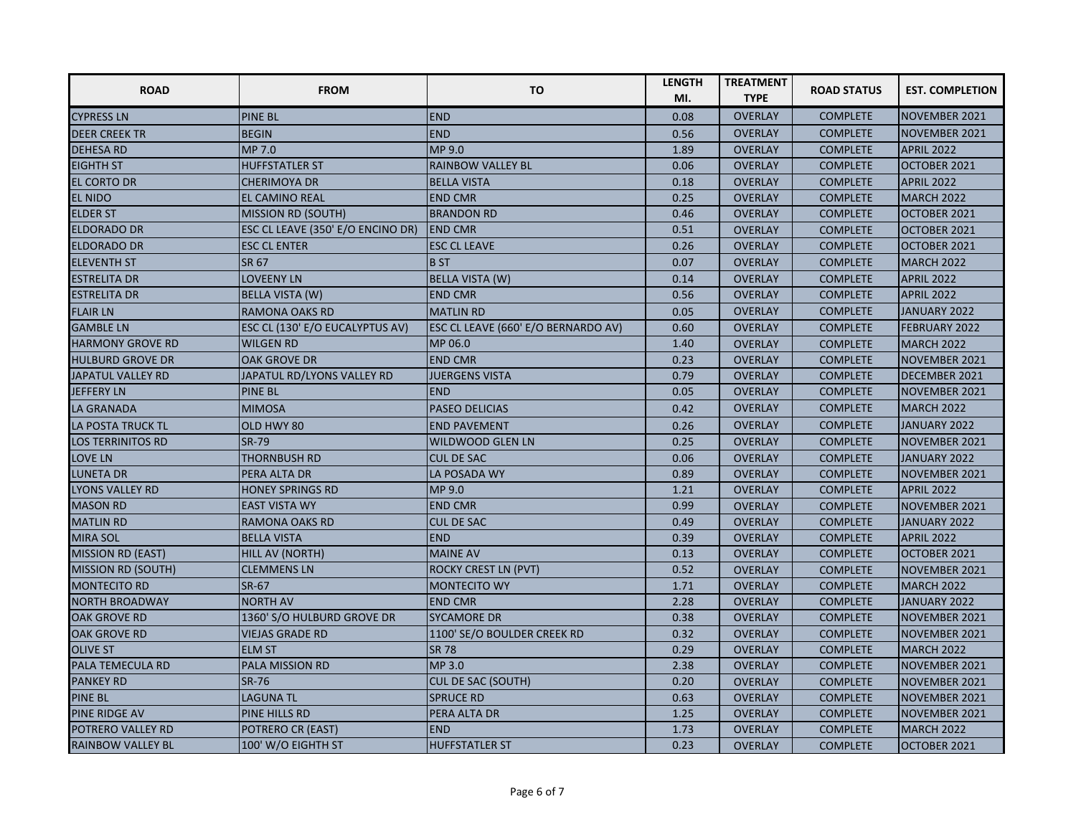| <b>ROAD</b>               | <b>FROM</b>                       | <b>TO</b>                           | <b>LENGTH</b><br>MI. | <b>TREATMENT</b><br><b>TYPE</b> | <b>ROAD STATUS</b> | <b>EST. COMPLETION</b> |
|---------------------------|-----------------------------------|-------------------------------------|----------------------|---------------------------------|--------------------|------------------------|
| <b>CYPRESS LN</b>         | <b>PINE BL</b>                    | <b>END</b>                          | 0.08                 | <b>OVERLAY</b>                  | <b>COMPLETE</b>    | NOVEMBER 2021          |
| <b>DEER CREEK TR</b>      | <b>BEGIN</b>                      | <b>END</b>                          | 0.56                 | <b>OVERLAY</b>                  | <b>COMPLETE</b>    | NOVEMBER 2021          |
| <b>DEHESA RD</b>          | MP 7.0                            | MP 9.0                              | 1.89                 | <b>OVERLAY</b>                  | <b>COMPLETE</b>    | <b>APRIL 2022</b>      |
| <b>EIGHTH ST</b>          | <b>HUFFSTATLER ST</b>             | <b>RAINBOW VALLEY BL</b>            | 0.06                 | <b>OVERLAY</b>                  | <b>COMPLETE</b>    | OCTOBER 2021           |
| <b>EL CORTO DR</b>        | <b>CHERIMOYA DR</b>               | <b>BELLA VISTA</b>                  | 0.18                 | <b>OVERLAY</b>                  | <b>COMPLETE</b>    | <b>APRIL 2022</b>      |
| <b>EL NIDO</b>            | EL CAMINO REAL                    | <b>END CMR</b>                      | 0.25                 | <b>OVERLAY</b>                  | <b>COMPLETE</b>    | <b>MARCH 2022</b>      |
| <b>ELDER ST</b>           | <b>MISSION RD (SOUTH)</b>         | <b>BRANDON RD</b>                   | 0.46                 | <b>OVERLAY</b>                  | <b>COMPLETE</b>    | OCTOBER 2021           |
| <b>ELDORADO DR</b>        | ESC CL LEAVE (350' E/O ENCINO DR) | <b>END CMR</b>                      | 0.51                 | <b>OVERLAY</b>                  | <b>COMPLETE</b>    | OCTOBER 2021           |
| <b>ELDORADO DR</b>        | <b>ESC CL ENTER</b>               | <b>ESC CL LEAVE</b>                 | 0.26                 | <b>OVERLAY</b>                  | <b>COMPLETE</b>    | OCTOBER 2021           |
| <b>ELEVENTH ST</b>        | SR 67                             | <b>BST</b>                          | 0.07                 | <b>OVERLAY</b>                  | <b>COMPLETE</b>    | <b>MARCH 2022</b>      |
| <b>ESTRELITA DR</b>       | <b>LOVEENY LN</b>                 | <b>BELLA VISTA (W)</b>              | 0.14                 | <b>OVERLAY</b>                  | <b>COMPLETE</b>    | <b>APRIL 2022</b>      |
| <b>ESTRELITA DR</b>       | <b>BELLA VISTA (W)</b>            | <b>END CMR</b>                      | 0.56                 | <b>OVERLAY</b>                  | <b>COMPLETE</b>    | <b>APRIL 2022</b>      |
| <b>FLAIR LN</b>           | RAMONA OAKS RD                    | <b>MATLIN RD</b>                    | 0.05                 | <b>OVERLAY</b>                  | <b>COMPLETE</b>    | JANUARY 2022           |
| <b>GAMBLE LN</b>          | ESC CL (130' E/O EUCALYPTUS AV)   | ESC CL LEAVE (660' E/O BERNARDO AV) | 0.60                 | <b>OVERLAY</b>                  | <b>COMPLETE</b>    | <b>FEBRUARY 2022</b>   |
| <b>HARMONY GROVE RD</b>   | <b>WILGEN RD</b>                  | MP 06.0                             | 1.40                 | <b>OVERLAY</b>                  | <b>COMPLETE</b>    | <b>MARCH 2022</b>      |
| <b>HULBURD GROVE DR</b>   | <b>OAK GROVE DR</b>               | <b>END CMR</b>                      | 0.23                 | <b>OVERLAY</b>                  | <b>COMPLETE</b>    | NOVEMBER 2021          |
| JAPATUL VALLEY RD         | JAPATUL RD/LYONS VALLEY RD        | <b>JUERGENS VISTA</b>               | 0.79                 | <b>OVERLAY</b>                  | <b>COMPLETE</b>    | DECEMBER 2021          |
| JEFFERY LN                | <b>PINE BL</b>                    | <b>END</b>                          | 0.05                 | <b>OVERLAY</b>                  | <b>COMPLETE</b>    | NOVEMBER 2021          |
| LA GRANADA                | <b>MIMOSA</b>                     | <b>PASEO DELICIAS</b>               | 0.42                 | <b>OVERLAY</b>                  | <b>COMPLETE</b>    | MARCH 2022             |
| <b>LA POSTA TRUCK TL</b>  | OLD HWY 80                        | <b>END PAVEMENT</b>                 | 0.26                 | <b>OVERLAY</b>                  | <b>COMPLETE</b>    | JANUARY 2022           |
| <b>LOS TERRINITOS RD</b>  | <b>SR-79</b>                      | <b>WILDWOOD GLEN LN</b>             | 0.25                 | <b>OVERLAY</b>                  | <b>COMPLETE</b>    | NOVEMBER 2021          |
| <b>LOVE LN</b>            | <b>THORNBUSH RD</b>               | <b>CUL DE SAC</b>                   | 0.06                 | <b>OVERLAY</b>                  | <b>COMPLETE</b>    | JANUARY 2022           |
| LUNETA DR                 | PERA ALTA DR                      | LA POSADA WY                        | 0.89                 | <b>OVERLAY</b>                  | <b>COMPLETE</b>    | NOVEMBER 2021          |
| LYONS VALLEY RD           | <b>HONEY SPRINGS RD</b>           | MP 9.0                              | 1.21                 | <b>OVERLAY</b>                  | <b>COMPLETE</b>    | <b>APRIL 2022</b>      |
| <b>MASON RD</b>           | <b>EAST VISTA WY</b>              | <b>END CMR</b>                      | 0.99                 | <b>OVERLAY</b>                  | <b>COMPLETE</b>    | NOVEMBER 2021          |
| <b>MATLIN RD</b>          | <b>RAMONA OAKS RD</b>             | <b>CUL DE SAC</b>                   | 0.49                 | <b>OVERLAY</b>                  | <b>COMPLETE</b>    | JANUARY 2022           |
| <b>MIRA SOL</b>           | <b>BELLA VISTA</b>                | <b>END</b>                          | 0.39                 | <b>OVERLAY</b>                  | <b>COMPLETE</b>    | <b>APRIL 2022</b>      |
| <b>MISSION RD (EAST)</b>  | HILL AV (NORTH)                   | <b>MAINE AV</b>                     | 0.13                 | <b>OVERLAY</b>                  | <b>COMPLETE</b>    | OCTOBER 2021           |
| <b>MISSION RD (SOUTH)</b> | <b>CLEMMENS LN</b>                | <b>ROCKY CREST LN (PVT)</b>         | 0.52                 | <b>OVERLAY</b>                  | <b>COMPLETE</b>    | NOVEMBER 2021          |
| <b>MONTECITO RD</b>       | SR-67                             | <b>MONTECITO WY</b>                 | 1.71                 | <b>OVERLAY</b>                  | <b>COMPLETE</b>    | <b>MARCH 2022</b>      |
| NORTH BROADWAY            | <b>NORTH AV</b>                   | <b>END CMR</b>                      | 2.28                 | <b>OVERLAY</b>                  | <b>COMPLETE</b>    | JANUARY 2022           |
| <b>OAK GROVE RD</b>       | 1360' S/O HULBURD GROVE DR        | <b>SYCAMORE DR</b>                  | 0.38                 | <b>OVERLAY</b>                  | <b>COMPLETE</b>    | NOVEMBER 2021          |
| <b>OAK GROVE RD</b>       | <b>VIEJAS GRADE RD</b>            | 1100' SE/O BOULDER CREEK RD         | 0.32                 | <b>OVERLAY</b>                  | <b>COMPLETE</b>    | NOVEMBER 2021          |
| <b>OLIVE ST</b>           | <b>ELM ST</b>                     | <b>SR 78</b>                        | 0.29                 | <b>OVERLAY</b>                  | <b>COMPLETE</b>    | <b>MARCH 2022</b>      |
| PALA TEMECULA RD          | PALA MISSION RD                   | MP 3.0                              | 2.38                 | <b>OVERLAY</b>                  | <b>COMPLETE</b>    | NOVEMBER 2021          |
| <b>PANKEY RD</b>          | <b>SR-76</b>                      | <b>CUL DE SAC (SOUTH)</b>           | 0.20                 | <b>OVERLAY</b>                  | <b>COMPLETE</b>    | NOVEMBER 2021          |
| <b>PINE BL</b>            | <b>LAGUNA TL</b>                  | <b>SPRUCE RD</b>                    | 0.63                 | <b>OVERLAY</b>                  | <b>COMPLETE</b>    | NOVEMBER 2021          |
| <b>PINE RIDGE AV</b>      | PINE HILLS RD                     | PERA ALTA DR                        | 1.25                 | <b>OVERLAY</b>                  | <b>COMPLETE</b>    | NOVEMBER 2021          |
| POTRERO VALLEY RD         | POTRERO CR (EAST)                 | <b>END</b>                          | 1.73                 | <b>OVERLAY</b>                  | <b>COMPLETE</b>    | <b>MARCH 2022</b>      |
| <b>RAINBOW VALLEY BL</b>  | 100' W/O EIGHTH ST                | <b>HUFFSTATLER ST</b>               | 0.23                 | <b>OVERLAY</b>                  | <b>COMPLETE</b>    | OCTOBER 2021           |